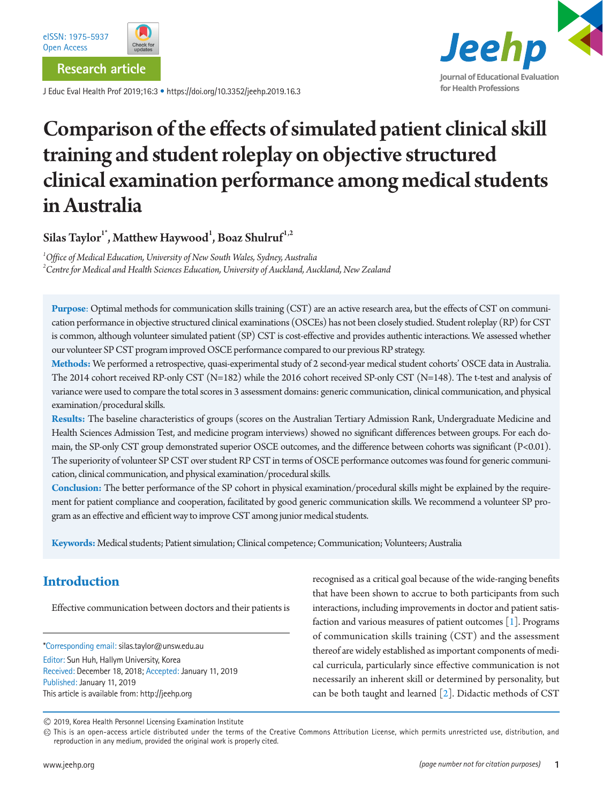**Research article**

J Educ Eval Health Prof 2019;16:3 • https://doi.org/10.3352/jeehp.2019.16.3



# Comparison of the effects of simulated patient clinical skill training and student roleplay on objective structured clinical examination performance among medical students in Australia

Silas Taylor $^{\rm l^{\ast}},$  Matthew Haywood $^{\rm l},$  Boaz Shulruf $^{\rm l,2}$ 

*1 Office of Medical Education, University of New South Wales, Sydney, Australia 2 Centre for Medical and Health Sciences Education, University of Auckland, Auckland, New Zealand*

**Purpose**: Optimal methods for communication skills training (CST) are an active research area, but the effects of CST on communication performance in objective structured clinical examinations (OSCEs) has not been closely studied. Student roleplay (RP) for CST is common, although volunteer simulated patient (SP) CST is cost-effective and provides authentic interactions. We assessed whether our volunteer SP CST program improved OSCE performance compared to our previous RP strategy.

**Methods:** We performed a retrospective, quasi-experimental study of 2 second-year medical student cohorts' OSCE data in Australia. The 2014 cohort received RP-only CST (N=182) while the 2016 cohort received SP-only CST (N=148). The t-test and analysis of variance were used to compare the total scores in 3 assessment domains: generic communication, clinical communication, and physical examination/procedural skills.

**Results:** The baseline characteristics of groups (scores on the Australian Tertiary Admission Rank, Undergraduate Medicine and Health Sciences Admission Test, and medicine program interviews) showed no significant differences between groups. For each domain, the SP-only CST group demonstrated superior OSCE outcomes, and the difference between cohorts was significant (P<0.01). The superiority of volunteer SP CST over student RP CST in terms of OSCE performance outcomes was found for generic communication, clinical communication, and physical examination/procedural skills.

**Conclusion:** The better performance of the SP cohort in physical examination/procedural skills might be explained by the requirement for patient compliance and cooperation, facilitated by good generic communication skills. We recommend a volunteer SP program as an effective and efficient way to improve CST among junior medical students.

**Keywords:** Medical students; Patient simulation; Clinical competence; Communication; Volunteers; Australia

## **Introduction**

Effective communication between doctors and their patients is

\*Corresponding email: silas.taylor@unsw.edu.au

Editor: Sun Huh, Hallym University, Korea Received: December 18, 2018; Accepted: January 11, 2019 Published: January 11, 2019 This article is available from: http://jeehp.org

recognised as a critical goal because of the wide-ranging benefits that have been shown to accrue to both participants from such interactions, including improvements in doctor and patient satisfaction and various measures of patient outcomes  $[1]$  $[1]$ . Programs of communication skills training (CST) and the assessment thereof are widely established as important components of medical curricula, particularly since effective communication is not necessarily an inherent skill or determined by personality, but can be both taught and learned [\[2\]](#page-5-1). Didactic methods of CST

2019, Korea Health Personnel Licensing Examination Institute

This is an open-access article distributed under the terms of the Creative Commons Attribution License, which permits unrestricted use, distribution, and reproduction in any medium, provided the original work is properly cited.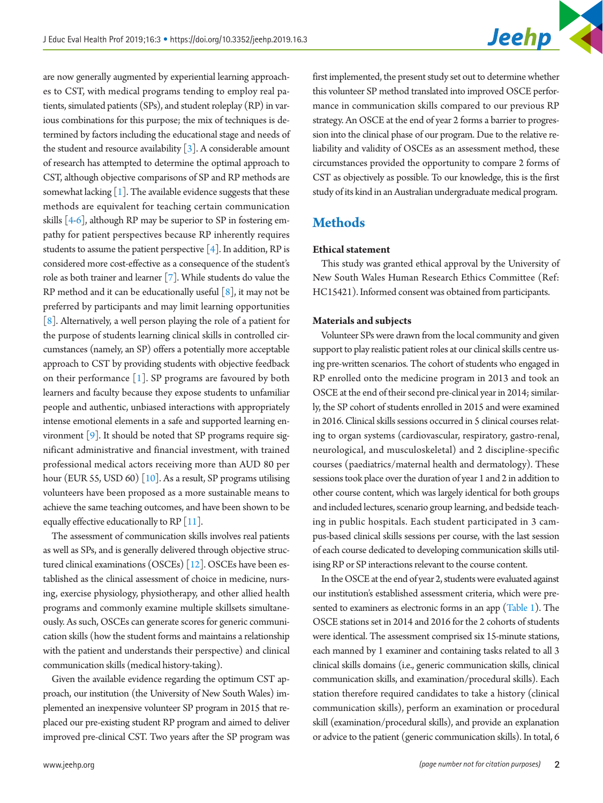are now generally augmented by experiential learning approaches to CST, with medical programs tending to employ real patients, simulated patients (SPs), and student roleplay (RP) in various combinations for this purpose; the mix of techniques is determined by factors including the educational stage and needs of the student and resource availability  $\lceil 3 \rceil$ . A considerable amount of research has attempted to determine the optimal approach to CST, although objective comparisons of SP and RP methods are somewhat lacking  $\lceil 1 \rceil$ . The available evidence suggests that these methods are equivalent for teaching certain communication skills  $[4-6]$  $[4-6]$  $[4-6]$ , although RP may be superior to SP in fostering empathy for patient perspectives because RP inherently requires students to assume the patient perspective [\[4](#page-5-3)]. In addition, RP is considered more cost-effective as a consequence of the student's role as both trainer and learner [\[7\]](#page-5-5). While students do value the RP method and it can be educationally useful  $\lceil 8 \rceil$ , it may not be preferred by participants and may limit learning opportunities [\[8](#page-5-6)]. Alternatively, a well person playing the role of a patient for the purpose of students learning clinical skills in controlled circumstances (namely, an SP) offers a potentially more acceptable approach to CST by providing students with objective feedback on their performance  $[1]$  $[1]$ . SP programs are favoured by both learners and faculty because they expose students to unfamiliar people and authentic, unbiased interactions with appropriately intense emotional elements in a safe and supported learning environment [\[9\]](#page-5-7). It should be noted that SP programs require significant administrative and financial investment, with trained professional medical actors receiving more than AUD 80 per hour (EUR 55, USD 60) [\[10](#page-5-8)]. As a result, SP programs utilising volunteers have been proposed as a more sustainable means to achieve the same teaching outcomes, and have been shown to be equally effective educationally to RP  $[11]$ .

The assessment of communication skills involves real patients as well as SPs, and is generally delivered through objective structured clinical examinations (OSCEs) [\[12](#page-6-1)]. OSCEs have been established as the clinical assessment of choice in medicine, nursing, exercise physiology, physiotherapy, and other allied health programs and commonly examine multiple skillsets simultaneously. As such, OSCEs can generate scores for generic communication skills (how the student forms and maintains a relationship with the patient and understands their perspective) and clinical communication skills (medical history-taking).

Given the available evidence regarding the optimum CST approach, our institution (the University of New South Wales) implemented an inexpensive volunteer SP program in 2015 that replaced our pre-existing student RP program and aimed to deliver improved pre-clinical CST. Two years after the SP program was

first implemented, the present study set out to determine whether this volunteer SP method translated into improved OSCE performance in communication skills compared to our previous RP strategy. An OSCE at the end of year 2 forms a barrier to progression into the clinical phase of our program. Due to the relative reliability and validity of OSCEs as an assessment method, these circumstances provided the opportunity to compare 2 forms of CST as objectively as possible. To our knowledge, this is the first study of its kind in an Australian undergraduate medical program.

## **Methods**

## **Ethical statement**

This study was granted ethical approval by the University of New South Wales Human Research Ethics Committee (Ref: HC15421). Informed consent was obtained from participants.

#### **Materials and subjects**

Volunteer SPs were drawn from the local community and given support to play realistic patient roles at our clinical skills centre using pre-written scenarios. The cohort of students who engaged in RP enrolled onto the medicine program in 2013 and took an OSCE at the end of their second pre-clinical year in 2014; similarly, the SP cohort of students enrolled in 2015 and were examined in 2016. Clinical skills sessions occurred in 5 clinical courses relating to organ systems (cardiovascular, respiratory, gastro-renal, neurological, and musculoskeletal) and 2 discipline-specific courses (paediatrics/maternal health and dermatology). These sessions took place over the duration of year 1 and 2 in addition to other course content, which was largely identical for both groups and included lectures, scenario group learning, and bedside teaching in public hospitals. Each student participated in 3 campus-based clinical skills sessions per course, with the last session of each course dedicated to developing communication skills utilising RP or SP interactions relevant to the course content.

In the OSCE at the end of year 2, students were evaluated against our institution's established assessment criteria, which were presented to examiners as electronic forms in an app ([Table 1](#page-2-0)). The OSCE stations set in 2014 and 2016 for the 2 cohorts of students were identical. The assessment comprised six 15-minute stations, each manned by 1 examiner and containing tasks related to all 3 clinical skills domains (i.e., generic communication skills, clinical communication skills, and examination/procedural skills). Each station therefore required candidates to take a history (clinical communication skills), perform an examination or procedural skill (examination/procedural skills), and provide an explanation or advice to the patient (generic communication skills). In total, 6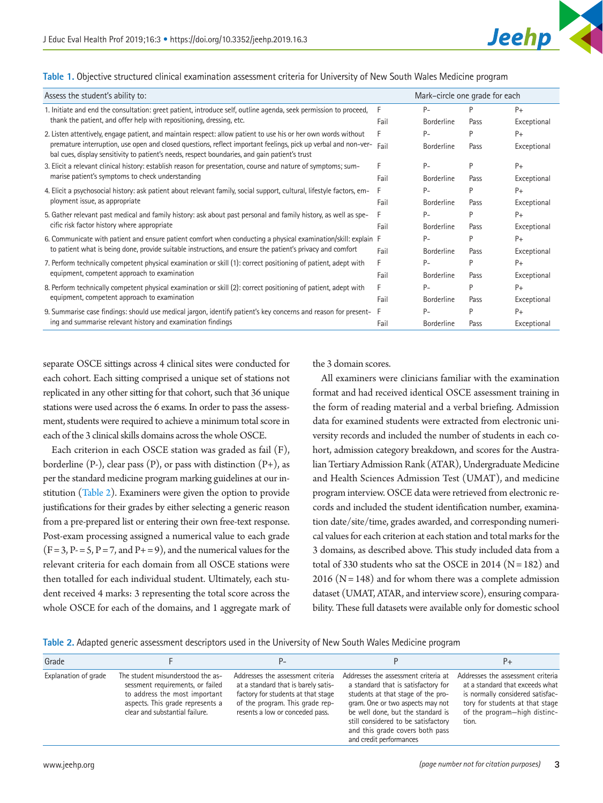

#### <span id="page-2-0"></span>**Table 1.** Objective structured clinical examination assessment criteria for University of New South Wales Medicine program

| Assess the student's ability to:                                                                                                                                                                                 |      | Mark-circle one grade for each |      |             |
|------------------------------------------------------------------------------------------------------------------------------------------------------------------------------------------------------------------|------|--------------------------------|------|-------------|
| 1. Initiate and end the consultation: greet patient, introduce self, outline agenda, seek permission to proceed,                                                                                                 | F    | $P -$                          | P    | $P+$        |
| thank the patient, and offer help with repositioning, dressing, etc.<br>Fail                                                                                                                                     |      | <b>Borderline</b>              | Pass | Exceptional |
| 2. Listen attentively, engage patient, and maintain respect: allow patient to use his or her own words without<br>F                                                                                              |      | $P-$                           | P    | $P+$        |
| premature interruption, use open and closed questions, reflect important feelings, pick up verbal and non-ver-<br>bal cues, display sensitivity to patient's needs, respect boundaries, and gain patient's trust | Fail | <b>Borderline</b>              | Pass | Exceptional |
| 3. Elicit a relevant clinical history: establish reason for presentation, course and nature of symptoms; sum-<br>marise patient's symptoms to check understanding                                                |      | Р-                             | P    | $P+$        |
|                                                                                                                                                                                                                  | Fail | <b>Borderline</b>              | Pass | Exceptional |
| 4. Elicit a psychosocial history: ask patient about relevant family, social support, cultural, lifestyle factors, em-                                                                                            | F    | $P -$                          | P    | $P+$        |
| ployment issue, as appropriate                                                                                                                                                                                   | Fail | <b>Borderline</b>              | Pass | Exceptional |
| 5. Gather relevant past medical and family history: ask about past personal and family history, as well as spe-                                                                                                  |      | $P -$                          | D    | $P+$        |
| cific risk factor history where appropriate                                                                                                                                                                      | Fail | <b>Borderline</b>              | Pass | Exceptional |
| 6. Communicate with patient and ensure patient comfort when conducting a physical examination/skill: explain F                                                                                                   |      | $P -$                          | P    | $P+$        |
| to patient what is being done, provide suitable instructions, and ensure the patient's privacy and comfort                                                                                                       | Fail | <b>Borderline</b>              | Pass | Exceptional |
| 7. Perform technically competent physical examination or skill (1): correct positioning of patient, adept with<br>equipment, competent approach to examination                                                   | F    | $P -$                          | P    | $P+$        |
|                                                                                                                                                                                                                  | Fail | <b>Borderline</b>              | Pass | Exceptional |
| 8. Perform technically competent physical examination or skill (2): correct positioning of patient, adept with<br>equipment, competent approach to examination                                                   | F.   | $P-$                           | P    | $P+$        |
|                                                                                                                                                                                                                  | Fail | <b>Borderline</b>              | Pass | Exceptional |
| 9. Summarise case findings: should use medical jargon, identify patient's key concerns and reason for present-                                                                                                   | F    | $P -$                          | D    | $P+$        |
| ing and summarise relevant history and examination findings                                                                                                                                                      | Fail | <b>Borderline</b>              | Pass | Exceptional |

separate OSCE sittings across 4 clinical sites were conducted for each cohort. Each sitting comprised a unique set of stations not replicated in any other sitting for that cohort, such that 36 unique stations were used across the 6 exams. In order to pass the assessment, students were required to achieve a minimum total score in each of the 3 clinical skills domains across the whole OSCE.

Each criterion in each OSCE station was graded as fail (F), borderline  $(P-$ ), clear pass  $(P)$ , or pass with distinction  $(P+)$ , as per the standard medicine program marking guidelines at our institution [\(Table 2](#page-2-1)). Examiners were given the option to provide justifications for their grades by either selecting a generic reason from a pre-prepared list or entering their own free-text response. Post-exam processing assigned a numerical value to each grade  $(F = 3, P = 5, P = 7, and P<sub>+</sub> = 9)$ , and the numerical values for the relevant criteria for each domain from all OSCE stations were then totalled for each individual student. Ultimately, each student received 4 marks: 3 representing the total score across the whole OSCE for each of the domains, and 1 aggregate mark of the 3 domain scores.

All examiners were clinicians familiar with the examination format and had received identical OSCE assessment training in the form of reading material and a verbal briefing. Admission data for examined students were extracted from electronic university records and included the number of students in each cohort, admission category breakdown, and scores for the Australian Tertiary Admission Rank (ATAR), Undergraduate Medicine and Health Sciences Admission Test (UMAT), and medicine program interview. OSCE data were retrieved from electronic records and included the student identification number, examination date/site/time, grades awarded, and corresponding numerical values for each criterion at each station and total marks for the 3 domains, as described above. This study included data from a total of 330 students who sat the OSCE in 2014 ( $N = 182$ ) and 2016 ( $N = 148$ ) and for whom there was a complete admission dataset (UMAT, ATAR, and interview score), ensuring comparability. These full datasets were available only for domestic school

<span id="page-2-1"></span>**Table 2.** Adapted generic assessment descriptors used in the University of New South Wales Medicine program

| Grade                |                                                                                                                                                                              | $P-$                                                                                                                                                                                 |                                                                                                                                                                                                                                                                                                 | $P+$                                                                                                                                                                                 |
|----------------------|------------------------------------------------------------------------------------------------------------------------------------------------------------------------------|--------------------------------------------------------------------------------------------------------------------------------------------------------------------------------------|-------------------------------------------------------------------------------------------------------------------------------------------------------------------------------------------------------------------------------------------------------------------------------------------------|--------------------------------------------------------------------------------------------------------------------------------------------------------------------------------------|
| Explanation of grade | The student misunderstood the as-<br>sessment requirements, or failed<br>to address the most important<br>aspects. This grade represents a<br>clear and substantial failure. | Addresses the assessment criteria<br>at a standard that is barely satis-<br>factory for students at that stage<br>of the program. This grade rep-<br>resents a low or conceded pass. | Addresses the assessment criteria at<br>a standard that is satisfactory for<br>students at that stage of the pro-<br>gram. One or two aspects may not<br>be well done, but the standard is<br>still considered to be satisfactory<br>and this grade covers both pass<br>and credit performances | Addresses the assessment criteria<br>at a standard that exceeds what<br>is normally considered satisfac-<br>tory for students at that stage<br>of the program-high distinc-<br>tion. |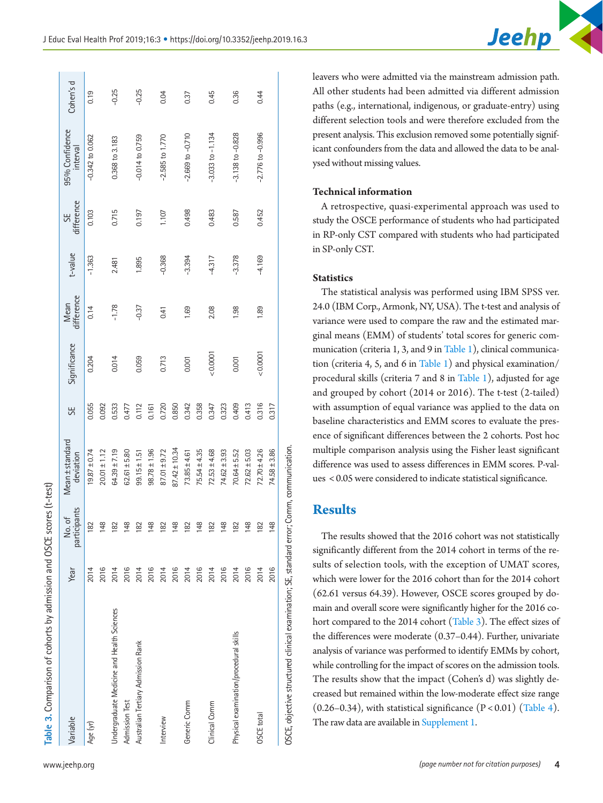| Table 3. Comparison of cohorts by admission and OSCE scores (t-test)                      |      |                                  |                              |       |              |                    |            |                  |                            |           |
|-------------------------------------------------------------------------------------------|------|----------------------------------|------------------------------|-------|--------------|--------------------|------------|------------------|----------------------------|-----------|
| Variable                                                                                  | Year | participants<br>$\sigma$ f<br>δ, | Mean ± standard<br>deviation | 55    | Significance | Mean<br>difference | $t$ -value | SE<br>difference | 95% Confidence<br>interval | Cohen's d |
| Age (yr)                                                                                  | 2014 | 182                              | $19.87 \pm 0.74$             | 0.055 | 0.204        | 0.14               | $-1.363$   | 0.103            | $-0.342$ to $0.062$        | 0.19      |
|                                                                                           | 2016 | 148                              | $20.01 \pm 1.12$             | 0.092 |              |                    |            |                  |                            |           |
| Undergraduate Medicine and Health Sciences                                                | 2014 | 182                              | $64.39 \pm 7.19$             | 0.533 | 0.014        | $-1.78$            | 2.481      | 0.715            | 0.368 to 3.183             | $-0.25$   |
| <b>Admission Test</b>                                                                     | 2016 | 148                              | $62.61 \pm 5.80$             | 0.477 |              |                    |            |                  |                            |           |
| Australian Tertiary Admission Rank                                                        | 2014 | 182                              | $99.15 \pm 1.51$             | 0.112 | 0.059        | $-0.37$            | 1.895      | 0.197            | $-0.014$ to 0.759          | $-0.25$   |
|                                                                                           | 2016 | 148                              | $98.78 \pm 1.96$             | 0.161 |              |                    |            |                  |                            |           |
| Interview                                                                                 | 2014 | 182                              | $87.01 \pm 9.72$             | 0.720 | 0.713        | 0.41               | $-0.368$   | 1.107            | $-2.585$ to $1.770$        | 0.04      |
|                                                                                           | 2016 | 148                              | $87.42 \pm 10.34$            | 0.850 |              |                    |            |                  |                            |           |
| Generic Comm                                                                              | 2014 | 182                              | $73.85 \pm 4.61$             | 0.342 | 0.001        | 1.69               | $-3.394$   | 0.498            | $-2.669$ to $-0.710$       | 0.37      |
|                                                                                           | 2016 | 148                              | 75.54±4.35                   | 0.358 |              |                    |            |                  |                            |           |
| Clinical Comm                                                                             | 2014 | 182                              | $72.53 \pm 4.68$             | 0.347 | 0.0001       | 2.08               | $-4.317$   | 0.483            | $-3.033$ to $-1.134$       | 0.45      |
|                                                                                           | 2016 | 148                              | $74.62 \pm 3.93$             | 0.323 |              |                    |            |                  |                            |           |
| Physical examination/procedural skills                                                    | 2014 | 182                              | $70.64 \pm 5.52$             | 0.409 | 0.001        | 1.98               | $-3.378$   | 0.587            | $-3.138$ to $-0.828$       | 0.36      |
|                                                                                           | 2016 | 148                              | $72.62 \pm 5.03$             | 0.413 |              |                    |            |                  |                            |           |
| OSCE total                                                                                | 2014 | 182                              | $72.70 \pm 4.26$             | 0.316 | 0.0001       | 1.89               | $-4.169$   | 0.452            | $-2.776$ to $-0.996$       | 0.44      |
|                                                                                           | 2016 | $\infty$<br>$\frac{4}{3}$        | $74.58 \pm 3.86$             | 0.317 |              |                    |            |                  |                            |           |
| OSCE, objective structured clinical examination; SE, standard error; Comm, communication. |      |                                  |                              |       |              |                    |            |                  |                            |           |

leavers who were admitted via the mainstream admission path. All other students had been admitted via different admission paths (e.g., international, indigenous, or graduate-entry) using different selection tools and were therefore excluded from the present analysis. This exclusion removed some potentially significant confounders from the data and allowed the data to be analysed without missing values.

Jeehp

## **Technical information**

A retrospective, quasi-experimental approach was used to study the OSCE performance of students who had participated in RP-only CST compared with students who had participated in SP-only CST.

#### **Statistics**

The statistical analysis was performed using IBM SPSS ver. 24.0 (IBM Corp., Armonk, NY, USA). The t-test and analysis of variance were used to compare the raw and the estimated marginal means (EMM) of students' total scores for generic communication (criteria 1, 3, and 9 in [Table 1\)](#page-2-0), clinical communication (criteria 4, 5, and 6 in [Table 1\)](#page-2-0) and physical examination/ procedural skills (criteria 7 and 8 in [Table 1\)](#page-2-0), adjusted for age and grouped by cohort (2014 or 2016). The t-test (2-tailed) with assumption of equal variance was applied to the data on baseline characteristics and EMM scores to evaluate the presence of significant differences between the 2 cohorts. Post hoc multiple comparison analysis using the Fisher least significant difference was used to assess differences in EMM scores. P-values < 0.05 were considered to indicate statistical significance.

## **Results**

<span id="page-3-0"></span>The results showed that the 2016 cohort was not statistically significantly different from the 2014 cohort in terms of the results of selection tools, with the exception of UMAT scores, which were lower for the 2016 cohort than for the 2014 cohort (62.61 versus 64.39). However, OSCE scores grouped by domain and overall score were significantly higher for the 2016 co-hort compared to the 2014 cohort [\(Table 3](#page-3-0)). The effect sizes of the differences were moderate (0.37–0.44). Further, univariate analysis of variance was performed to identify EMMs by cohort, while controlling for the impact of scores on the admission tools. The results show that the impact (Cohen's d) was slightly decreased but remained within the low-moderate effect size range  $(0.26-0.34)$ , with statistical significance  $(P < 0.01)$  [\(Table 4](#page-4-0)). The raw data are available in [Supplement 1](#page-5-9).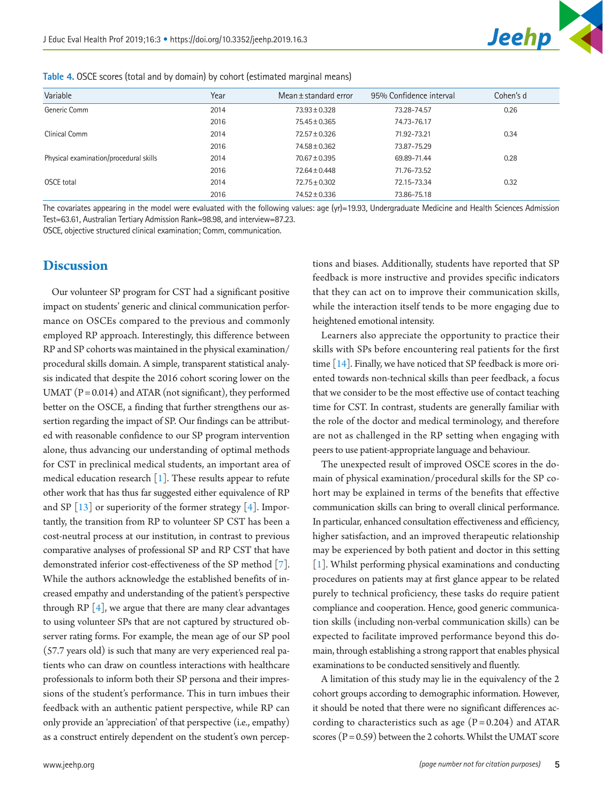

| Variable                               | Year | Mean $\pm$ standard error | 95% Confidence interval | Cohen's d |  |
|----------------------------------------|------|---------------------------|-------------------------|-----------|--|
| Generic Comm                           | 2014 | $73.93 \pm 0.328$         | 73.28-74.57             | 0.26      |  |
|                                        | 2016 | 75.45 ± 0.365             | 74.73-76.17             |           |  |
| Clinical Comm                          | 2014 | 72.57 ± 0.326             | 71.92-73.21             | 0.34      |  |
|                                        | 2016 | $74.58 \pm 0.362$         | 73.87-75.29             |           |  |
| Physical examination/procedural skills | 2014 | $70.67 \pm 0.395$         | 69.89-71.44             | 0.28      |  |
|                                        | 2016 | $72.64 \pm 0.448$         | 71.76-73.52             |           |  |
| OSCE total                             | 2014 | $72.75 \pm 0.302$         | 72.15-73.34             | 0.32      |  |
|                                        | 2016 | $74.52 \pm 0.336$         | 73.86-75.18             |           |  |

<span id="page-4-0"></span>**Table 4.** OSCE scores (total and by domain) by cohort (estimated marginal means)

The covariates appearing in the model were evaluated with the following values: age (yr)=19.93, Undergraduate Medicine and Health Sciences Admission Test=63.61, Australian Tertiary Admission Rank=98.98, and interview=87.23.

OSCE, objective structured clinical examination; Comm, communication.

## **Discussion**

Our volunteer SP program for CST had a significant positive impact on students' generic and clinical communication performance on OSCEs compared to the previous and commonly employed RP approach. Interestingly, this difference between RP and SP cohorts was maintained in the physical examination/ procedural skills domain. A simple, transparent statistical analysis indicated that despite the 2016 cohort scoring lower on the UMAT  $(P = 0.014)$  and ATAR (not significant), they performed better on the OSCE, a finding that further strengthens our assertion regarding the impact of SP. Our findings can be attributed with reasonable confidence to our SP program intervention alone, thus advancing our understanding of optimal methods for CST in preclinical medical students, an important area of medical education research [\[1\]](#page-5-0). These results appear to refute other work that has thus far suggested either equivalence of RP and SP  $\lceil 13 \rceil$  or superiority of the former strategy  $\lceil 4 \rceil$ . Importantly, the transition from RP to volunteer SP CST has been a cost-neutral process at our institution, in contrast to previous comparative analyses of professional SP and RP CST that have demonstrated inferior cost-effectiveness of the SP method [\[7](#page-5-5)]. While the authors acknowledge the established benefits of increased empathy and understanding of the patient's perspective through  $RP[4]$  $RP[4]$ , we argue that there are many clear advantages to using volunteer SPs that are not captured by structured observer rating forms. For example, the mean age of our SP pool (57.7 years old) is such that many are very experienced real patients who can draw on countless interactions with healthcare professionals to inform both their SP persona and their impressions of the student's performance. This in turn imbues their feedback with an authentic patient perspective, while RP can only provide an 'appreciation' of that perspective (i.e., empathy) as a construct entirely dependent on the student's own percep-

tions and biases. Additionally, students have reported that SP feedback is more instructive and provides specific indicators that they can act on to improve their communication skills, while the interaction itself tends to be more engaging due to heightened emotional intensity.

Learners also appreciate the opportunity to practice their skills with SPs before encountering real patients for the first time [\[14](#page-6-3)]. Finally, we have noticed that SP feedback is more oriented towards non-technical skills than peer feedback, a focus that we consider to be the most effective use of contact teaching time for CST. In contrast, students are generally familiar with the role of the doctor and medical terminology, and therefore are not as challenged in the RP setting when engaging with peers to use patient-appropriate language and behaviour.

The unexpected result of improved OSCE scores in the domain of physical examination/procedural skills for the SP cohort may be explained in terms of the benefits that effective communication skills can bring to overall clinical performance. In particular, enhanced consultation effectiveness and efficiency, higher satisfaction, and an improved therapeutic relationship may be experienced by both patient and doctor in this setting [\[1\]](#page-5-0). Whilst performing physical examinations and conducting procedures on patients may at first glance appear to be related purely to technical proficiency, these tasks do require patient compliance and cooperation. Hence, good generic communication skills (including non-verbal communication skills) can be expected to facilitate improved performance beyond this domain, through establishing a strong rapport that enables physical examinations to be conducted sensitively and fluently.

A limitation of this study may lie in the equivalency of the 2 cohort groups according to demographic information. However, it should be noted that there were no significant differences according to characteristics such as age  $(P = 0.204)$  and ATAR scores ( $P = 0.59$ ) between the 2 cohorts. Whilst the UMAT score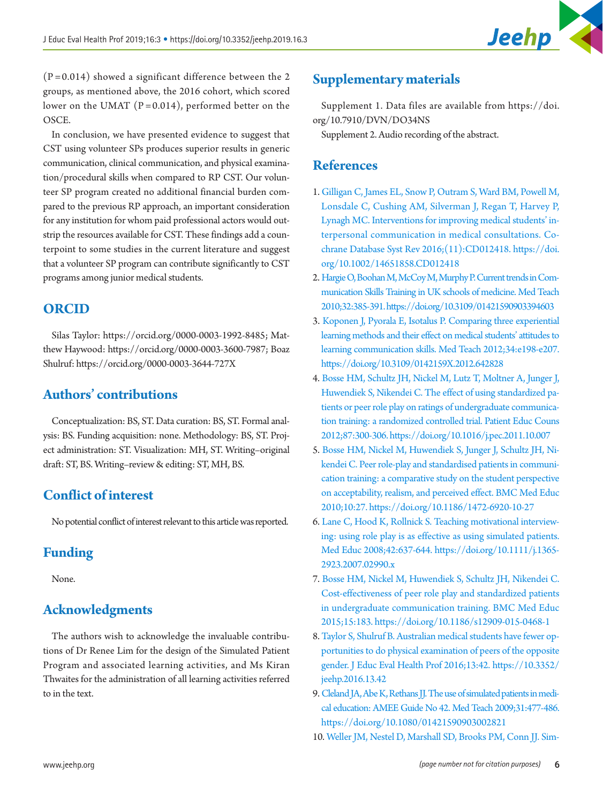

 $(P=0.014)$  showed a significant difference between the 2 groups, as mentioned above, the 2016 cohort, which scored lower on the UMAT ( $P = 0.014$ ), performed better on the OSCE.

In conclusion, we have presented evidence to suggest that CST using volunteer SPs produces superior results in generic communication, clinical communication, and physical examination/procedural skills when compared to RP CST. Our volunteer SP program created no additional financial burden compared to the previous RP approach, an important consideration for any institution for whom paid professional actors would outstrip the resources available for CST. These findings add a counterpoint to some studies in the current literature and suggest that a volunteer SP program can contribute significantly to CST programs among junior medical students.

## **ORCID**

Silas Taylor: <https://orcid.org/0000-0003-1992-8485>; Matthew Haywood:<https://orcid.org/0000-0003-3600-7987>; Boaz Shulruf:<https://orcid.org/0000-0003-3644-727X>

## **Authors' contributions**

Conceptualization: BS, ST. Data curation: BS, ST. Formal analysis: BS. Funding acquisition: none. Methodology: BS, ST. Project administration: ST. Visualization: MH, ST. Writing–original draft: ST, BS. Writing–review & editing: ST, MH, BS.

## **Conflict of interest**

No potential conflict of interest relevant to this article was reported.

## **Funding**

None.

# **Acknowledgments**

The authors wish to acknowledge the invaluable contributions of Dr Renee Lim for the design of the Simulated Patient Program and associated learning activities, and Ms Kiran Thwaites for the administration of all learning activities referred to in the text.

# <span id="page-5-9"></span>**Supplementary materials**

Supplement 1. Data files are available from [https://doi.](https://doi.org/10.7910/DVN/DO34NS
) [org/10.7910/DVN/DO34NS](https://doi.org/10.7910/DVN/DO34NS
)

Supplement 2. Audio recording of the abstract.

## **References**

- <span id="page-5-0"></span>1. [Gilligan C, James EL, Snow P, Outram S, Ward BM, Powell M,](https://doi.org/10.1002/14651858.CD012418)  [Lonsdale C, Cushing AM, Silverman J, Regan T, Harvey P,](https://doi.org/10.1002/14651858.CD012418)  [Lynagh MC. Interventions for improving medical students' in](https://doi.org/10.1002/14651858.CD012418)[terpersonal communication in medical consultations. Co](https://doi.org/10.1002/14651858.CD012418)[chrane Database Syst Rev 2016;\(11\):CD012418. https://doi.](https://doi.org/10.1002/14651858.CD012418) [org/10.1002/14651858.CD012418](https://doi.org/10.1002/14651858.CD012418)
- <span id="page-5-1"></span>2. [Hargie O, Boohan M, McCoy M, Murphy P. Current trends in Com](https://doi.org/10.3109/01421590903394603)[munication Skills Training in UK schools of medicine. Med Teach](https://doi.org/10.3109/01421590903394603)  [2010;32:385-391. https://doi.org/10.3109/01421590903394603](https://doi.org/10.3109/01421590903394603)
- <span id="page-5-2"></span>3. [Koponen J, Pyorala E, Isotalus P. Comparing three experiential](https://doi.org/10.3109/0142159X.2012.642828)  [learning methods and their effect on medical students' attitudes to](https://doi.org/10.3109/0142159X.2012.642828)  [learning communication skills. Med Teach 2012;34:e198-e207.](https://doi.org/10.3109/0142159X.2012.642828)  <https://doi.org/10.3109/0142159X.2012.642828>
- <span id="page-5-3"></span>4. [Bosse HM, Schultz JH, Nickel M, Lutz T, Moltner A, Junger J,](https://doi.org/10.1016/j.pec.2011.10.007)  [Huwendiek S, Nikendei C. The effect of using standardized pa](https://doi.org/10.1016/j.pec.2011.10.007)[tients or peer role play on ratings of undergraduate communica](https://doi.org/10.1016/j.pec.2011.10.007)[tion training: a randomized controlled trial. Patient Educ Couns](https://doi.org/10.1016/j.pec.2011.10.007)  [2012;87:300-306. https://doi.org/10.1016/j.pec.2011.10.007](https://doi.org/10.1016/j.pec.2011.10.007)
- 5. [Bosse HM, Nickel M, Huwendiek S, Junger J, Schultz JH, Ni](https://doi.org/10.1186/1472-6920-10-27)[kendei C. Peer role-play and standardised patients in communi](https://doi.org/10.1186/1472-6920-10-27)[cation training: a comparative study on the student perspective](https://doi.org/10.1186/1472-6920-10-27)  [on acceptability, realism, and perceived effect. BMC Med Educ](https://doi.org/10.1186/1472-6920-10-27)  [2010;10:27. https://doi.org/10.1186/1472-6920-10-27](https://doi.org/10.1186/1472-6920-10-27)
- <span id="page-5-4"></span>6. [Lane C, Hood K, Rollnick S. Teaching motivational interview](https://doi.org/10.1111/j.1365-2923.2007.02990.x)[ing: using role play is as effective as using simulated patients.](https://doi.org/10.1111/j.1365-2923.2007.02990.x)  [Med Educ 2008;42:637-644. https://doi.org/10.1111/j.1365-](https://doi.org/10.1111/j.1365-2923.2007.02990.x) [2923.2007.02990.x](https://doi.org/10.1111/j.1365-2923.2007.02990.x)
- <span id="page-5-5"></span>7. [Bosse HM, Nickel M, Huwendiek S, Schultz JH, Nikendei C.](https://doi.org/10.1186/s12909-015-0468-1)  [Cost-effectiveness of peer role play and standardized patients](https://doi.org/10.1186/s12909-015-0468-1)  [in undergraduate communication training. BMC Med Educ](https://doi.org/10.1186/s12909-015-0468-1)  [2015;15:183. https://doi.org/10.1186/s12909-015-0468-1](https://doi.org/10.1186/s12909-015-0468-1)
- <span id="page-5-6"></span>8. [Taylor S, Shulruf B. Australian medical students have fewer op](https://doi.org/10.3352/jeehp.2016.13.42)[portunities to do physical examination of peers of the opposite](https://doi.org/10.3352/jeehp.2016.13.42)  [gender. J Educ Eval Health Prof 2016;13:42. https://10.3352/](https://doi.org/10.3352/jeehp.2016.13.42) [jeehp.2016.13.42](https://doi.org/10.3352/jeehp.2016.13.42)
- <span id="page-5-7"></span>9.[Cleland JA, Abe K, Rethans JJ. The use of simulated patients in medi](https://doi.org/10.1080/01421590903002821)[cal education: AMEE Guide No 42. Med Teach 2009;31:477-486.](https://doi.org/10.1080/01421590903002821)  <https://doi.org/10.1080/01421590903002821>
- <span id="page-5-8"></span>10. [Weller JM, Nestel D, Marshall SD, Brooks PM, Conn JJ. Sim-](https://doi.org/10.5694/mja10.11474)